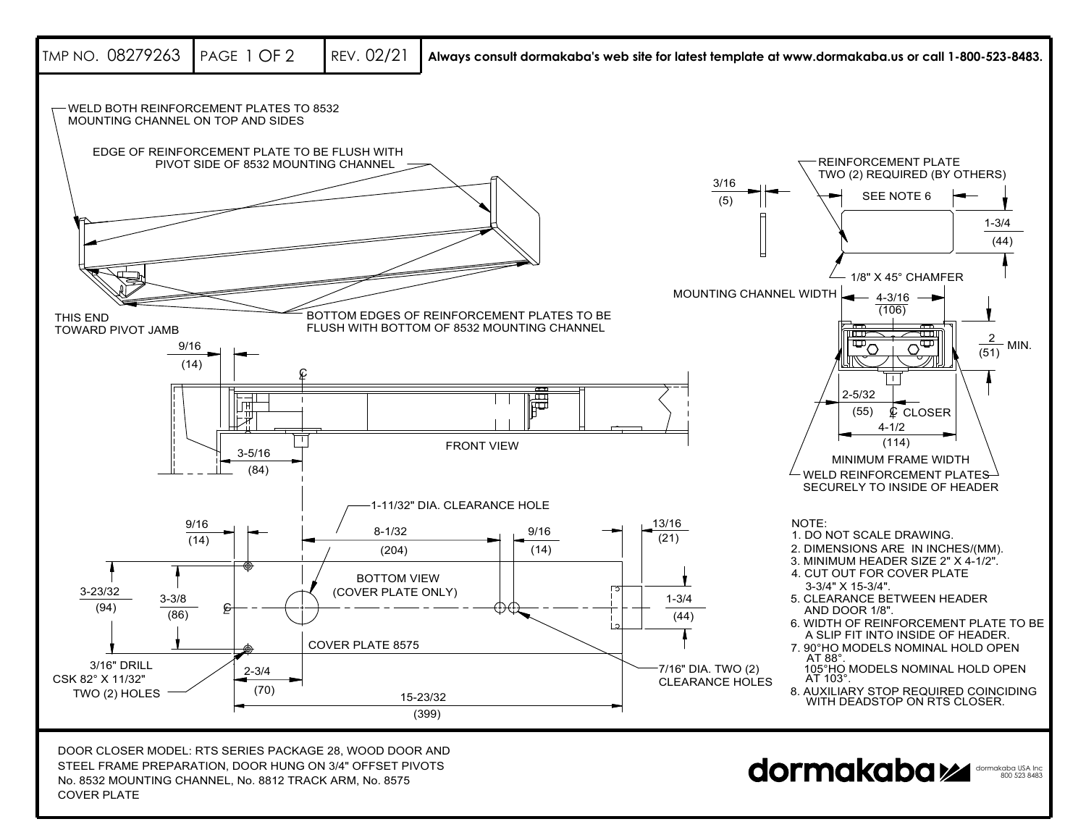